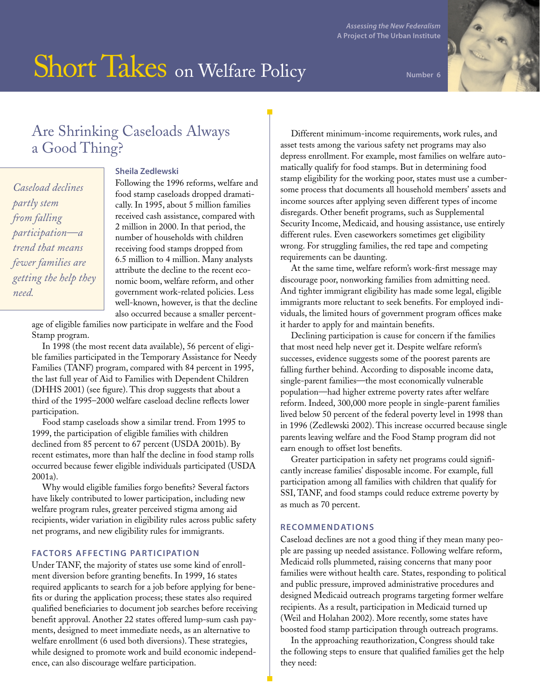# Short Takes on Welfare Policy

**Number 6**

# Are Shrinking Caseloads Always a Good Thing?

*Caseload declines partly stem from falling participation—a trend that means fewer families are getting the help they need.*

### **Sheila Zedlewski**

Following the 1996 reforms, welfare and food stamp caseloads dropped dramatically. In 1995, about 5 million families received cash assistance, compared with 2 million in 2000. In that period, the number of households with children receiving food stamps dropped from 6.5 million to 4 million. Many analysts attribute the decline to the recent economic boom, welfare reform, and other government work-related policies. Less well-known, however, is that the decline also occurred because a smaller percent-

age of eligible families now participate in welfare and the Food Stamp program.

In 1998 (the most recent data available), 56 percent of eligible families participated in the Temporary Assistance for Needy Families (TANF) program, compared with 84 percent in 1995, the last full year of Aid to Families with Dependent Children (DHHS 2001) (see figure). This drop suggests that about a third of the 1995–2000 welfare caseload decline reflects lower participation.

Food stamp caseloads show a similar trend. From 1995 to 1999, the participation of eligible families with children declined from 85 percent to 67 percent (USDA 2001b). By recent estimates, more than half the decline in food stamp rolls occurred because fewer eligible individuals participated (USDA 2001a).

Why would eligible families forgo benefits? Several factors have likely contributed to lower participation, including new welfare program rules, greater perceived stigma among aid recipients, wider variation in eligibility rules across public safety net programs, and new eligibility rules for immigrants.

## **FACTORS AFFECTING PARTICIPATION**

Under TANF, the majority of states use some kind of enrollment diversion before granting benefits. In 1999, 16 states required applicants to search for a job before applying for benefits or during the application process; these states also required qualified beneficiaries to document job searches before receiving benefit approval. Another 22 states offered lump-sum cash payments, designed to meet immediate needs, as an alternative to welfare enrollment (6 used both diversions). These strategies, while designed to promote work and build economic independence, can also discourage welfare participation.

Different minimum-income requirements, work rules, and asset tests among the various safety net programs may also depress enrollment. For example, most families on welfare automatically qualify for food stamps. But in determining food stamp eligibility for the working poor, states must use a cumbersome process that documents all household members' assets and income sources after applying seven different types of income disregards. Other benefit programs, such as Supplemental Security Income, Medicaid, and housing assistance, use entirely different rules. Even caseworkers sometimes get eligibility wrong. For struggling families, the red tape and competing requirements can be daunting.

At the same time, welfare reform's work-first message may discourage poor, nonworking families from admitting need. And tighter immigrant eligibility has made some legal, eligible immigrants more reluctant to seek benefits. For employed individuals, the limited hours of government program offices make it harder to apply for and maintain benefits.

Declining participation is cause for concern if the families that most need help never get it. Despite welfare reform's successes, evidence suggests some of the poorest parents are falling further behind. According to disposable income data, single-parent families—the most economically vulnerable population—had higher extreme poverty rates after welfare reform. Indeed, 300,000 more people in single-parent families lived below 50 percent of the federal poverty level in 1998 than in 1996 (Zedlewski 2002). This increase occurred because single parents leaving welfare and the Food Stamp program did not earn enough to offset lost benefits.

Greater participation in safety net programs could significantly increase families' disposable income. For example, full participation among all families with children that qualify for SSI, TANF, and food stamps could reduce extreme poverty by as much as 70 percent.

#### **RECOMMENDATIONS**

Caseload declines are not a good thing if they mean many people are passing up needed assistance. Following welfare reform, Medicaid rolls plummeted, raising concerns that many poor families were without health care. States, responding to political and public pressure, improved administrative procedures and designed Medicaid outreach programs targeting former welfare recipients. As a result, participation in Medicaid turned up (Weil and Holahan 2002). More recently, some states have boosted food stamp participation through outreach programs.

In the approaching reauthorization, Congress should take the following steps to ensure that qualified families get the help they need: